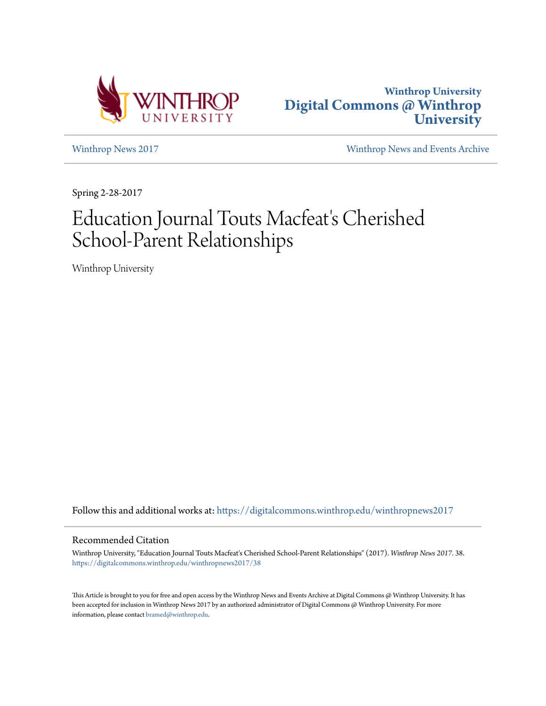



[Winthrop News 2017](https://digitalcommons.winthrop.edu/winthropnews2017?utm_source=digitalcommons.winthrop.edu%2Fwinthropnews2017%2F38&utm_medium=PDF&utm_campaign=PDFCoverPages) [Winthrop News and Events Archive](https://digitalcommons.winthrop.edu/winthropnewsarchives?utm_source=digitalcommons.winthrop.edu%2Fwinthropnews2017%2F38&utm_medium=PDF&utm_campaign=PDFCoverPages)

Spring 2-28-2017

# Education Journal Touts Macfeat's Cherished School-Parent Relationships

Winthrop University

Follow this and additional works at: [https://digitalcommons.winthrop.edu/winthropnews2017](https://digitalcommons.winthrop.edu/winthropnews2017?utm_source=digitalcommons.winthrop.edu%2Fwinthropnews2017%2F38&utm_medium=PDF&utm_campaign=PDFCoverPages)

### Recommended Citation

Winthrop University, "Education Journal Touts Macfeat's Cherished School-Parent Relationships" (2017). *Winthrop News 2017*. 38. [https://digitalcommons.winthrop.edu/winthropnews2017/38](https://digitalcommons.winthrop.edu/winthropnews2017/38?utm_source=digitalcommons.winthrop.edu%2Fwinthropnews2017%2F38&utm_medium=PDF&utm_campaign=PDFCoverPages)

This Article is brought to you for free and open access by the Winthrop News and Events Archive at Digital Commons @ Winthrop University. It has been accepted for inclusion in Winthrop News 2017 by an authorized administrator of Digital Commons @ Winthrop University. For more information, please contact [bramed@winthrop.edu](mailto:bramed@winthrop.edu).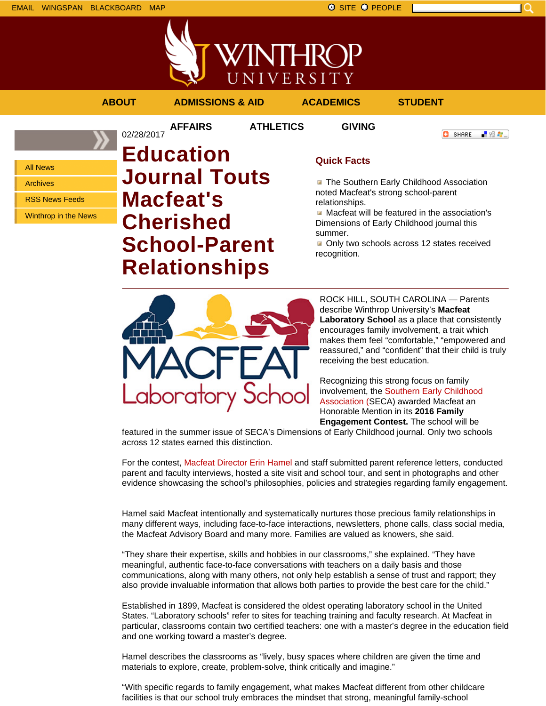

**O** SHARE

「验費」



**AFFAIRS ATHLETICS GIVING**

02/28/2017

**ABOUT ADMISSIONS & AID ACADEMICS STUDENT**

All News Archives RSS News Feeds

Winthrop in the News

# **Education Journal Touts Macfeat's Cherished School-Parent Relationships**

## **Quick Facts**

**The Southern Early Childhood Association** noted Macfeat's strong school-parent relationships.

Macfeat will be featured in the association's Dimensions of Early Childhood journal this summer.

Only two schools across 12 states received recognition.



ROCK HILL, SOUTH CAROLINA — Parents describe Winthrop University's **Macfeat Laboratory School** as a place that consistently encourages family involvement, a trait which makes them feel "comfortable," "empowered and reassured," and "confident" that their child is truly receiving the best education.

Recognizing this strong focus on family involvement, the Southern Early Childhood Association (SECA) awarded Macfeat an Honorable Mention in its **2016 Family Engagement Contest.** The school will be

featured in the summer issue of SECA's Dimensions of Early Childhood journal. Only two schools across 12 states earned this distinction.

For the contest, Macfeat Director Erin Hamel and staff submitted parent reference letters, conducted parent and faculty interviews, hosted a site visit and school tour, and sent in photographs and other evidence showcasing the school's philosophies, policies and strategies regarding family engagement.

Hamel said Macfeat intentionally and systematically nurtures those precious family relationships in many different ways, including face-to-face interactions, newsletters, phone calls, class social media, the Macfeat Advisory Board and many more. Families are valued as knowers, she said.

"They share their expertise, skills and hobbies in our classrooms," she explained. "They have meaningful, authentic face-to-face conversations with teachers on a daily basis and those communications, along with many others, not only help establish a sense of trust and rapport; they also provide invaluable information that allows both parties to provide the best care for the child."

Established in 1899, Macfeat is considered the oldest operating laboratory school in the United States. "Laboratory schools" refer to sites for teaching training and faculty research. At Macfeat in particular, classrooms contain two certified teachers: one with a master's degree in the education field and one working toward a master's degree.

Hamel describes the classrooms as "lively, busy spaces where children are given the time and materials to explore, create, problem-solve, think critically and imagine."

"With specific regards to family engagement, what makes Macfeat different from other childcare facilities is that our school truly embraces the mindset that strong, meaningful family-school